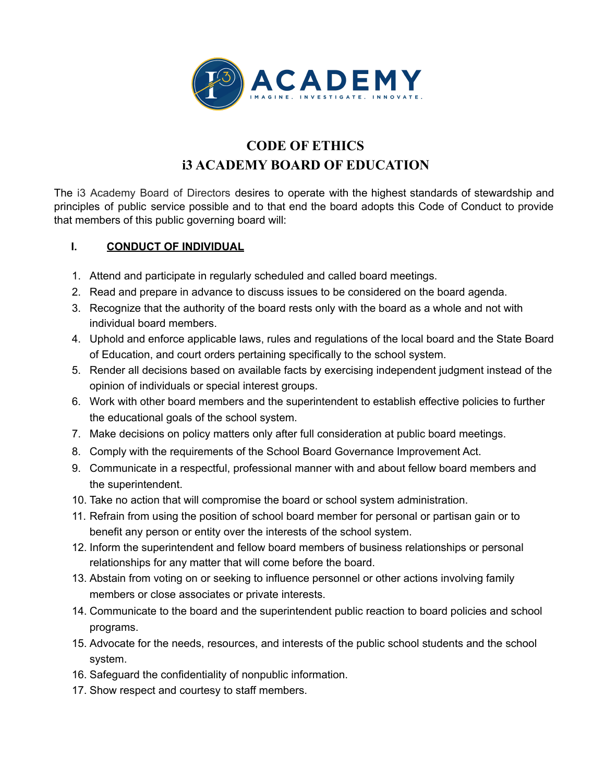

## **CODE OF ETHICS i3 ACADEMY BOARD OF EDUCATION**

The i3 Academy Board of Directors desires to operate with the highest standards of stewardship and principles of public service possible and to that end the board adopts this Code of Conduct to provide that members of this public governing board will:

## **I. CONDUCT OF INDIVIDUAL**

- 1. Attend and participate in regularly scheduled and called board meetings.
- 2. Read and prepare in advance to discuss issues to be considered on the board agenda.
- 3. Recognize that the authority of the board rests only with the board as a whole and not with individual board members.
- 4. Uphold and enforce applicable laws, rules and regulations of the local board and the State Board of Education, and court orders pertaining specifically to the school system.
- 5. Render all decisions based on available facts by exercising independent judgment instead of the opinion of individuals or special interest groups.
- 6. Work with other board members and the superintendent to establish effective policies to further the educational goals of the school system.
- 7. Make decisions on policy matters only after full consideration at public board meetings.
- 8. Comply with the requirements of the School Board Governance Improvement Act.
- 9. Communicate in a respectful, professional manner with and about fellow board members and the superintendent.
- 10. Take no action that will compromise the board or school system administration.
- 11. Refrain from using the position of school board member for personal or partisan gain or to benefit any person or entity over the interests of the school system.
- 12. Inform the superintendent and fellow board members of business relationships or personal relationships for any matter that will come before the board.
- 13. Abstain from voting on or seeking to influence personnel or other actions involving family members or close associates or private interests.
- 14. Communicate to the board and the superintendent public reaction to board policies and school programs.
- 15. Advocate for the needs, resources, and interests of the public school students and the school system.
- 16. Safeguard the confidentiality of nonpublic information.
- 17. Show respect and courtesy to staff members.